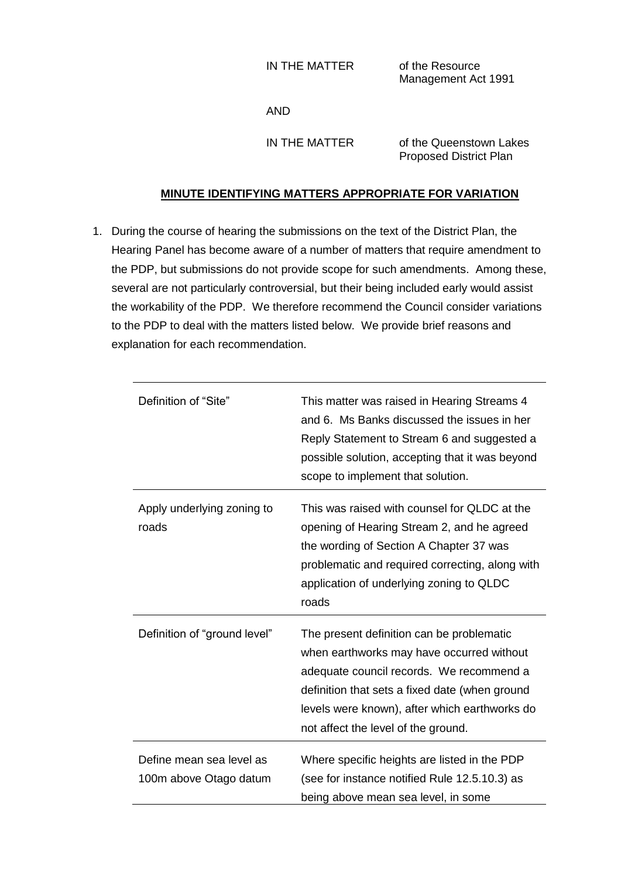IN THE MATTER of the Resource

Management Act 1991

AND

IN THE MATTER of the Queenstown Lakes Proposed District Plan

## **MINUTE IDENTIFYING MATTERS APPROPRIATE FOR VARIATION**

1. During the course of hearing the submissions on the text of the District Plan, the Hearing Panel has become aware of a number of matters that require amendment to the PDP, but submissions do not provide scope for such amendments. Among these, several are not particularly controversial, but their being included early would assist the workability of the PDP. We therefore recommend the Council consider variations to the PDP to deal with the matters listed below. We provide brief reasons and explanation for each recommendation.

| Definition of "Site"                               | This matter was raised in Hearing Streams 4<br>and 6. Ms Banks discussed the issues in her<br>Reply Statement to Stream 6 and suggested a<br>possible solution, accepting that it was beyond<br>scope to implement that solution.                                            |
|----------------------------------------------------|------------------------------------------------------------------------------------------------------------------------------------------------------------------------------------------------------------------------------------------------------------------------------|
| Apply underlying zoning to<br>roads                | This was raised with counsel for QLDC at the<br>opening of Hearing Stream 2, and he agreed<br>the wording of Section A Chapter 37 was<br>problematic and required correcting, along with<br>application of underlying zoning to QLDC<br>roads                                |
| Definition of "ground level"                       | The present definition can be problematic<br>when earthworks may have occurred without<br>adequate council records. We recommend a<br>definition that sets a fixed date (when ground<br>levels were known), after which earthworks do<br>not affect the level of the ground. |
| Define mean sea level as<br>100m above Otago datum | Where specific heights are listed in the PDP<br>(see for instance notified Rule 12.5.10.3) as<br>being above mean sea level, in some                                                                                                                                         |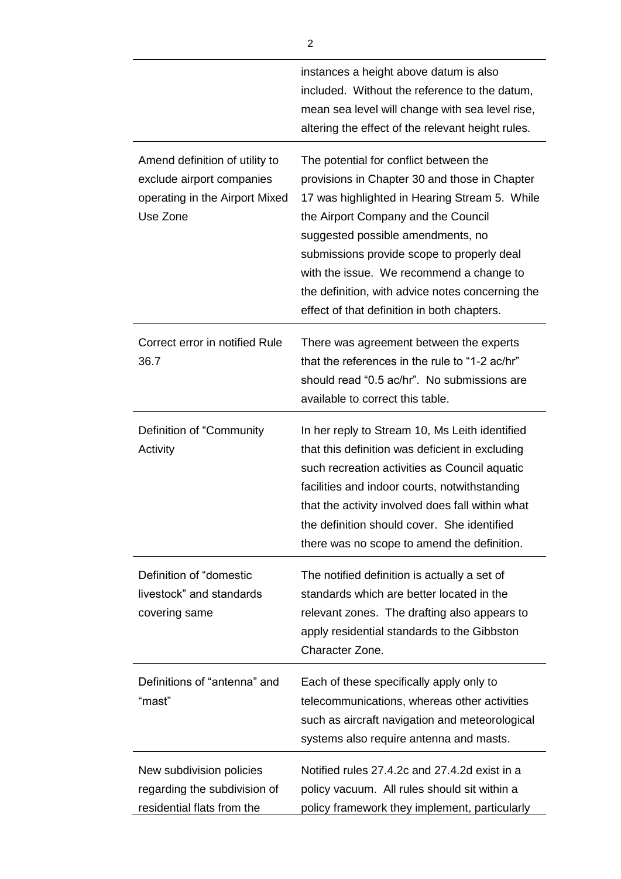|                                                                                                           | instances a height above datum is also<br>included. Without the reference to the datum,<br>mean sea level will change with sea level rise,<br>altering the effect of the relevant height rules.                                                                                                                                                                                                                   |
|-----------------------------------------------------------------------------------------------------------|-------------------------------------------------------------------------------------------------------------------------------------------------------------------------------------------------------------------------------------------------------------------------------------------------------------------------------------------------------------------------------------------------------------------|
| Amend definition of utility to<br>exclude airport companies<br>operating in the Airport Mixed<br>Use Zone | The potential for conflict between the<br>provisions in Chapter 30 and those in Chapter<br>17 was highlighted in Hearing Stream 5. While<br>the Airport Company and the Council<br>suggested possible amendments, no<br>submissions provide scope to properly deal<br>with the issue. We recommend a change to<br>the definition, with advice notes concerning the<br>effect of that definition in both chapters. |
| Correct error in notified Rule<br>36.7                                                                    | There was agreement between the experts<br>that the references in the rule to "1-2 ac/hr"<br>should read "0.5 ac/hr". No submissions are<br>available to correct this table.                                                                                                                                                                                                                                      |
| Definition of "Community<br>Activity                                                                      | In her reply to Stream 10, Ms Leith identified<br>that this definition was deficient in excluding<br>such recreation activities as Council aquatic<br>facilities and indoor courts, notwithstanding<br>that the activity involved does fall within what<br>the definition should cover. She identified<br>there was no scope to amend the definition.                                                             |
| Definition of "domestic<br>livestock" and standards<br>covering same                                      | The notified definition is actually a set of<br>standards which are better located in the<br>relevant zones. The drafting also appears to<br>apply residential standards to the Gibbston<br>Character Zone.                                                                                                                                                                                                       |
| Definitions of "antenna" and<br>"mast"                                                                    | Each of these specifically apply only to<br>telecommunications, whereas other activities<br>such as aircraft navigation and meteorological<br>systems also require antenna and masts.                                                                                                                                                                                                                             |
| New subdivision policies<br>regarding the subdivision of<br>residential flats from the                    | Notified rules 27.4.2c and 27.4.2d exist in a<br>policy vacuum. All rules should sit within a<br>policy framework they implement, particularly                                                                                                                                                                                                                                                                    |